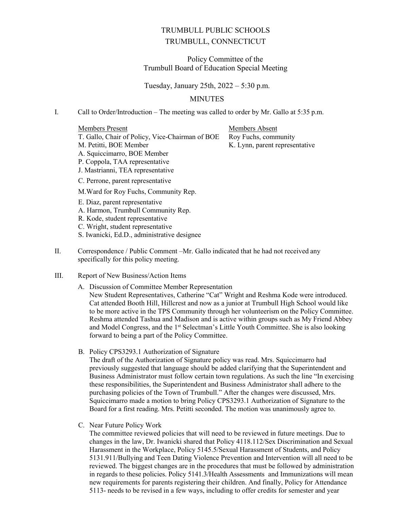# TRUMBULL PUBLIC SCHOOLS TRUMBULL, CONNECTICUT

## Policy Committee of the Trumbull Board of Education Special Meeting

Tuesday, January 25th, 2022 – 5:30 p.m.

## **MINUTES**

### I. Call to Order/Introduction – The meeting was called to order by Mr. Gallo at 5:35 p.m.

Members Present Members Absent T. Gallo, Chair of Policy, Vice-Chairman of BOE Roy Fuchs, community M. Petitti, BOE Member K. Lynn, parent representative A. Squiccimarro, BOE Member P. Coppola, TAA representative J. Mastrianni, TEA representative C. Perrone, parent representative M.Ward for Roy Fuchs, Community Rep. E. Diaz, parent representative A. Harmon, Trumbull Community Rep.

R. Kode, student representative

C. Wright, student representative

S. Iwanicki, Ed.D., administrative designee

- II. Correspondence / Public Comment –Mr. Gallo indicated that he had not received any specifically for this policy meeting.
- III. Report of New Business/Action Items
	- A. Discussion of Committee Member Representation New Student Representatives, Catherine "Cat" Wright and Reshma Kode were introduced. Cat attended Booth Hill, Hillcrest and now as a junior at Trumbull High School would like to be more active in the TPS Community through her volunteerism on the Policy Committee. Reshma attended Tashua and Madison and is active within groups such as My Friend Abbey and Model Congress, and the 1<sup>st</sup> Selectman's Little Youth Committee. She is also looking forward to being a part of the Policy Committee.
	- B. Policy CPS3293.1 Authorization of Signature

The draft of the Authorization of Signature policy was read. Mrs. Squiccimarro had previously suggested that language should be added clarifying that the Superintendent and Business Administrator must follow certain town regulations. As such the line "In exercising these responsibilities, the Superintendent and Business Administrator shall adhere to the purchasing policies of the Town of Trumbull." After the changes were discussed, Mrs. Squiccimarro made a motion to bring Policy CPS3293.1 Authorization of Signature to the Board for a first reading. Mrs. Petitti seconded. The motion was unanimously agree to.

C. Near Future Policy Work

 reviewed. The biggest changes are in the procedures that must be followed by administration The committee reviewed policies that will need to be reviewed in future meetings. Due to changes in the law, Dr. Iwanicki shared that Policy 4118.112/Sex Discrimination and Sexual Harassment in the Workplace, Policy 5145.5/Sexual Harassment of Students, and Policy 5131.911/Bullying and Teen Dating Violence Prevention and Intervention will all need to be in regards to these policies. Policy 5141.3/Health Assessments and Immunizations will mean new requirements for parents registering their children. And finally, Policy for Attendance 5113- needs to be revised in a few ways, including to offer credits for semester and year